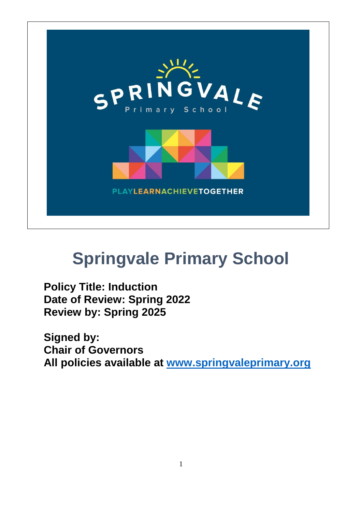

# **Springvale Primary School**

**Policy Title: Induction Date of Review: Spring 2022 Review by: Spring 2025**

**Signed by: Chair of Governors All policies available at [www.springvaleprimary.org](http://www.springvaleprimary.org/)**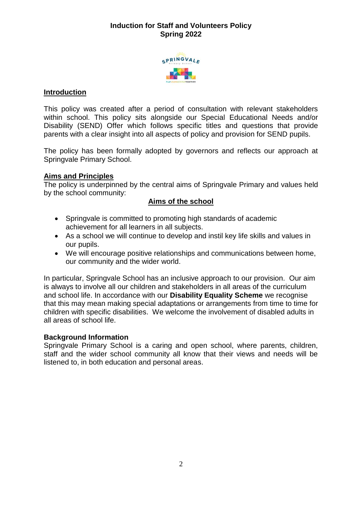# **Induction for Staff and Volunteers Policy Spring 2022**



#### **Introduction**

This policy was created after a period of consultation with relevant stakeholders within school. This policy sits alongside our Special Educational Needs and/or Disability (SEND) Offer which follows specific titles and questions that provide parents with a clear insight into all aspects of policy and provision for SEND pupils.

The policy has been formally adopted by governors and reflects our approach at Springvale Primary School.

#### **Aims and Principles**

The policy is underpinned by the central aims of Springvale Primary and values held by the school community:

#### **Aims of the school**

- Springvale is committed to promoting high standards of academic achievement for all learners in all subjects.
- As a school we will continue to develop and instil key life skills and values in our pupils.
- We will encourage positive relationships and communications between home, our community and the wider world.

In particular, Springvale School has an inclusive approach to our provision. Our aim is always to involve all our children and stakeholders in all areas of the curriculum and school life. In accordance with our **Disability Equality Scheme** we recognise that this may mean making special adaptations or arrangements from time to time for children with specific disabilities. We welcome the involvement of disabled adults in all areas of school life.

#### **Background Information**

Springvale Primary School is a caring and open school, where parents, children, staff and the wider school community all know that their views and needs will be listened to, in both education and personal areas.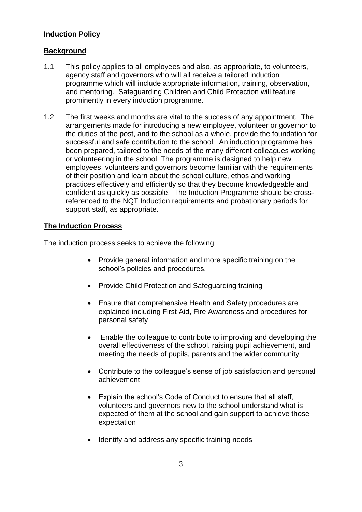# **Induction Policy**

# **Background**

- 1.1 This policy applies to all employees and also, as appropriate, to volunteers, agency staff and governors who will all receive a tailored induction programme which will include appropriate information, training, observation, and mentoring. Safeguarding Children and Child Protection will feature prominently in every induction programme.
- 1.2 The first weeks and months are vital to the success of any appointment. The arrangements made for introducing a new employee, volunteer or governor to the duties of the post, and to the school as a whole, provide the foundation for successful and safe contribution to the school. An induction programme has been prepared, tailored to the needs of the many different colleagues working or volunteering in the school. The programme is designed to help new employees, volunteers and governors become familiar with the requirements of their position and learn about the school culture, ethos and working practices effectively and efficiently so that they become knowledgeable and confident as quickly as possible. The Induction Programme should be crossreferenced to the NQT Induction requirements and probationary periods for support staff, as appropriate.

# **The Induction Process**

The induction process seeks to achieve the following:

- Provide general information and more specific training on the school's policies and procedures.
- Provide Child Protection and Safeguarding training
- Ensure that comprehensive Health and Safety procedures are explained including First Aid, Fire Awareness and procedures for personal safety
- Enable the colleague to contribute to improving and developing the overall effectiveness of the school, raising pupil achievement, and meeting the needs of pupils, parents and the wider community
- Contribute to the colleague's sense of job satisfaction and personal achievement
- Explain the school's Code of Conduct to ensure that all staff, volunteers and governors new to the school understand what is expected of them at the school and gain support to achieve those expectation
- Identify and address any specific training needs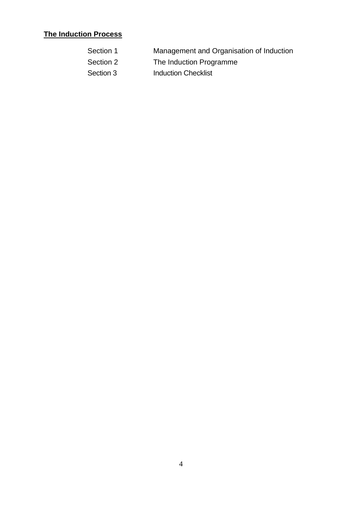# **The Induction Process**

- Section 1 Management and Organisation of Induction
- Section 2 The Induction Programme
- Section 3 **Induction Checklist**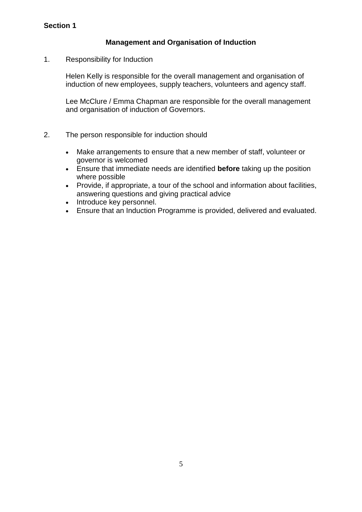# **Management and Organisation of Induction**

1. Responsibility for Induction

Helen Kelly is responsible for the overall management and organisation of induction of new employees, supply teachers, volunteers and agency staff.

Lee McClure / Emma Chapman are responsible for the overall management and organisation of induction of Governors.

- 2. The person responsible for induction should
	- Make arrangements to ensure that a new member of staff, volunteer or governor is welcomed
	- Ensure that immediate needs are identified **before** taking up the position where possible
	- Provide, if appropriate, a tour of the school and information about facilities, answering questions and giving practical advice
	- Introduce key personnel.
	- Ensure that an Induction Programme is provided, delivered and evaluated.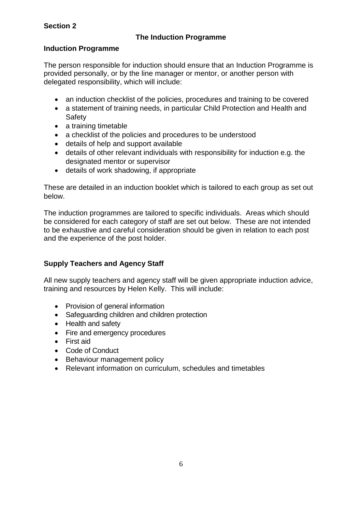# **Section 2**

# **The Induction Programme**

# **Induction Programme**

The person responsible for induction should ensure that an Induction Programme is provided personally, or by the line manager or mentor, or another person with delegated responsibility, which will include:

- an induction checklist of the policies, procedures and training to be covered
- a statement of training needs, in particular Child Protection and Health and **Safety**
- a training timetable
- a checklist of the policies and procedures to be understood
- details of help and support available
- details of other relevant individuals with responsibility for induction e.g. the designated mentor or supervisor
- details of work shadowing, if appropriate

These are detailed in an induction booklet which is tailored to each group as set out below.

The induction programmes are tailored to specific individuals. Areas which should be considered for each category of staff are set out below. These are not intended to be exhaustive and careful consideration should be given in relation to each post and the experience of the post holder.

# **Supply Teachers and Agency Staff**

All new supply teachers and agency staff will be given appropriate induction advice, training and resources by Helen Kelly. This will include:

- Provision of general information
- Safeguarding children and children protection
- Health and safety
- Fire and emergency procedures
- First aid
- Code of Conduct
- Behaviour management policy
- Relevant information on curriculum, schedules and timetables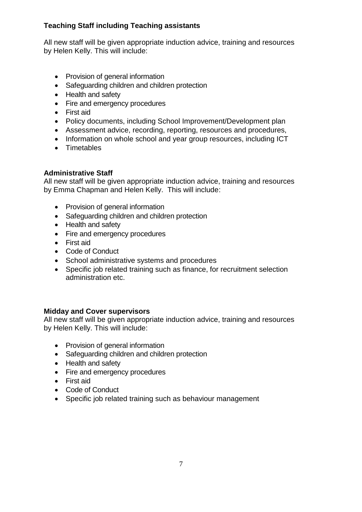# **Teaching Staff including Teaching assistants**

All new staff will be given appropriate induction advice, training and resources by Helen Kelly. This will include:

- Provision of general information
- Safeguarding children and children protection
- Health and safety
- Fire and emergency procedures
- First aid
- Policy documents, including School Improvement/Development plan
- Assessment advice, recording, reporting, resources and procedures,
- Information on whole school and year group resources, including ICT
- Timetables

#### **Administrative Staff**

All new staff will be given appropriate induction advice, training and resources by Emma Chapman and Helen Kelly. This will include:

- Provision of general information
- Safeguarding children and children protection
- Health and safety
- Fire and emergency procedures
- First aid
- Code of Conduct
- School administrative systems and procedures
- Specific job related training such as finance, for recruitment selection administration etc.

#### **Midday and Cover supervisors**

All new staff will be given appropriate induction advice, training and resources by Helen Kelly. This will include:

- Provision of general information
- Safeguarding children and children protection
- Health and safety
- Fire and emergency procedures
- First aid
- Code of Conduct
- Specific job related training such as behaviour management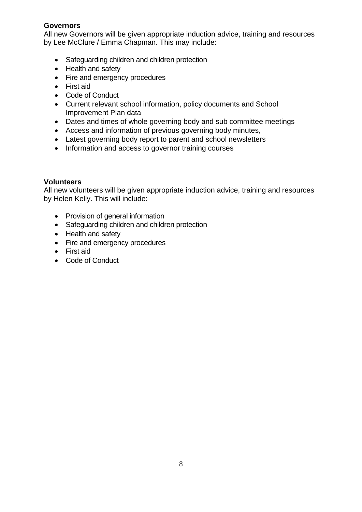#### **Governors**

All new Governors will be given appropriate induction advice, training and resources by Lee McClure / Emma Chapman. This may include:

- Safeguarding children and children protection
- Health and safety
- Fire and emergency procedures
- First aid
- Code of Conduct
- Current relevant school information, policy documents and School Improvement Plan data
- Dates and times of whole governing body and sub committee meetings
- Access and information of previous governing body minutes,
- Latest governing body report to parent and school newsletters
- Information and access to governor training courses

#### **Volunteers**

All new volunteers will be given appropriate induction advice, training and resources by Helen Kelly. This will include:

- Provision of general information
- Safeguarding children and children protection
- Health and safety
- Fire and emergency procedures
- First aid
- Code of Conduct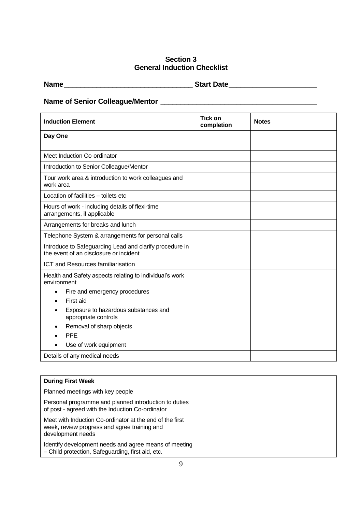# **Section 3 General Induction Checklist**

| <b>Start Date</b> |
|-------------------|
|                   |

# **Name of Senior Colleague/Mentor \_\_\_\_\_\_\_\_\_\_\_\_\_\_\_\_\_\_\_\_\_\_\_\_\_\_\_\_\_\_\_\_\_\_\_\_\_\_\_**

| <b>Induction Element</b>                                                                          | <b>Tick on</b><br>completion | <b>Notes</b> |
|---------------------------------------------------------------------------------------------------|------------------------------|--------------|
| Day One                                                                                           |                              |              |
| Meet Induction Co-ordinator                                                                       |                              |              |
| Introduction to Senior Colleague/Mentor                                                           |                              |              |
| Tour work area & introduction to work colleagues and<br>work area                                 |                              |              |
| Location of facilities - toilets etc                                                              |                              |              |
| Hours of work - including details of flexi-time<br>arrangements, if applicable                    |                              |              |
| Arrangements for breaks and lunch                                                                 |                              |              |
| Telephone System & arrangements for personal calls                                                |                              |              |
| Introduce to Safeguarding Lead and clarify procedure in<br>the event of an disclosure or incident |                              |              |
| <b>ICT and Resources familiarisation</b>                                                          |                              |              |
| Health and Safety aspects relating to individual's work<br>environment                            |                              |              |
| Fire and emergency procedures                                                                     |                              |              |
| First aid                                                                                         |                              |              |
| Exposure to hazardous substances and<br>appropriate controls                                      |                              |              |
| Removal of sharp objects                                                                          |                              |              |
| <b>PPE</b>                                                                                        |                              |              |
| Use of work equipment                                                                             |                              |              |
| Details of any medical needs                                                                      |                              |              |

| <b>During First Week</b>                                                                                                      |  |
|-------------------------------------------------------------------------------------------------------------------------------|--|
| Planned meetings with key people                                                                                              |  |
| Personal programme and planned introduction to duties<br>of post - agreed with the Induction Co-ordinator                     |  |
| Meet with Induction Co-ordinator at the end of the first<br>week, review progress and agree training and<br>development needs |  |
| Identify development needs and agree means of meeting<br>- Child protection, Safeguarding, first aid, etc.                    |  |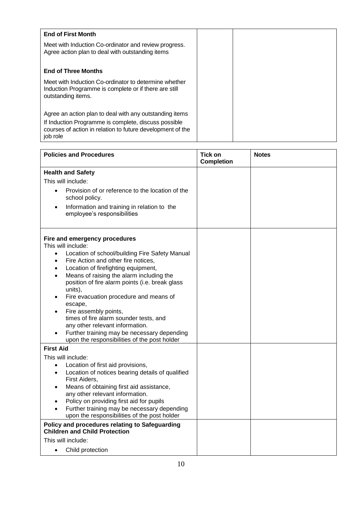| <b>End of First Month</b>                                                                                                            |  |
|--------------------------------------------------------------------------------------------------------------------------------------|--|
| Meet with Induction Co-ordinator and review progress.<br>Agree action plan to deal with outstanding items                            |  |
| <b>End of Three Months</b>                                                                                                           |  |
| Meet with Induction Co-ordinator to determine whether<br>Induction Programme is complete or if there are still<br>outstanding items. |  |
| Agree an action plan to deal with any outstanding items                                                                              |  |
| If Induction Programme is complete, discuss possible<br>courses of action in relation to future development of the<br>job role       |  |

| <b>Policies and Procedures</b>                                                                                                                                                                                                                                                                                                                                                                                                                                                                                                                                                                 | <b>Tick on</b><br><b>Completion</b> | <b>Notes</b> |
|------------------------------------------------------------------------------------------------------------------------------------------------------------------------------------------------------------------------------------------------------------------------------------------------------------------------------------------------------------------------------------------------------------------------------------------------------------------------------------------------------------------------------------------------------------------------------------------------|-------------------------------------|--------------|
| <b>Health and Safety</b>                                                                                                                                                                                                                                                                                                                                                                                                                                                                                                                                                                       |                                     |              |
| This will include:                                                                                                                                                                                                                                                                                                                                                                                                                                                                                                                                                                             |                                     |              |
| Provision of or reference to the location of the<br>$\bullet$<br>school policy.                                                                                                                                                                                                                                                                                                                                                                                                                                                                                                                |                                     |              |
| Information and training in relation to the<br>$\bullet$<br>employee's responsibilities                                                                                                                                                                                                                                                                                                                                                                                                                                                                                                        |                                     |              |
| Fire and emergency procedures<br>This will include:<br>Location of school/building Fire Safety Manual<br>$\bullet$<br>Fire Action and other fire notices,<br>$\bullet$<br>Location of firefighting equipment,<br>$\bullet$<br>Means of raising the alarm including the<br>position of fire alarm points (i.e. break glass<br>units),<br>Fire evacuation procedure and means of<br>escape,<br>Fire assembly points,<br>times of fire alarm sounder tests, and<br>any other relevant information.<br>Further training may be necessary depending<br>upon the responsibilities of the post holder |                                     |              |
| <b>First Aid</b>                                                                                                                                                                                                                                                                                                                                                                                                                                                                                                                                                                               |                                     |              |
| This will include:<br>Location of first aid provisions,<br>$\bullet$<br>Location of notices bearing details of qualified<br>First Aiders,<br>Means of obtaining first aid assistance,<br>$\bullet$<br>any other relevant information.<br>Policy on providing first aid for pupils<br>Further training may be necessary depending<br>upon the responsibilities of the post holder                                                                                                                                                                                                               |                                     |              |
| Policy and procedures relating to Safeguarding<br><b>Children and Child Protection</b>                                                                                                                                                                                                                                                                                                                                                                                                                                                                                                         |                                     |              |
| This will include:                                                                                                                                                                                                                                                                                                                                                                                                                                                                                                                                                                             |                                     |              |
| Child protection<br>$\bullet$                                                                                                                                                                                                                                                                                                                                                                                                                                                                                                                                                                  |                                     |              |